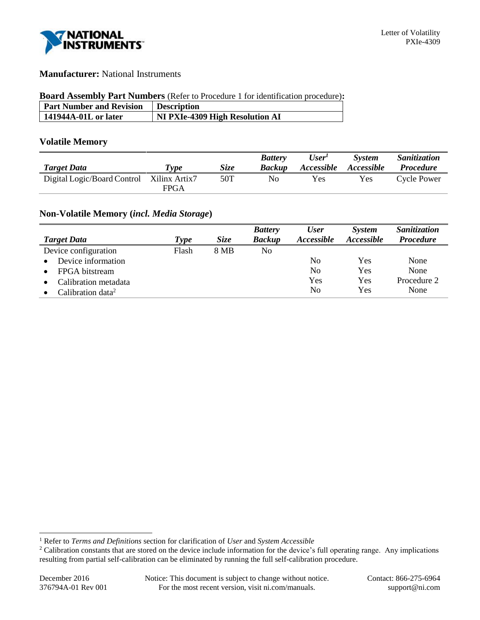

## **Manufacturer:** National Instruments

#### **Board Assembly Part Numbers** (Refer to Procedure 1 for identification procedure)**:**

| <b>Part Number and Revision</b> | <b>Description</b>              |
|---------------------------------|---------------------------------|
| 141944A-01L or later            | NI PXIe-4309 High Resolution AI |

### **Volatile Memory**

| <b>Target Data</b>          | Type          | <i>Size</i> | <b>Battery</b><br><b>Backup</b> | User'<br><i>Accessible</i> | <b>System</b><br>Accessible | Sanitization<br><i>Procedure</i> |
|-----------------------------|---------------|-------------|---------------------------------|----------------------------|-----------------------------|----------------------------------|
| Digital Logic/Board Control | Xilinx Artix7 | 50T         | No                              | Yes                        | Yes                         | Cycle Power                      |
|                             | <b>FPGA</b>   |             |                                 |                            |                             |                                  |

# **Non-Volatile Memory (***incl. Media Storage***)**

|                               |       |             | <b>Battery</b> | <b>User</b>       | <b>System</b>     | Sanitization     |
|-------------------------------|-------|-------------|----------------|-------------------|-------------------|------------------|
| <b>Target Data</b>            | Type  | <i>Size</i> | <b>Backup</b>  | <i>Accessible</i> | <i>Accessible</i> | <b>Procedure</b> |
| Device configuration          | Flash | 8 MB        | No             |                   |                   |                  |
| Device information            |       |             |                | No                | Yes               | None             |
| FPGA bitstream                |       |             |                | No                | Yes               | None             |
| Calibration metadata          |       |             |                | Yes               | Yes               | Procedure 2      |
| Calibration data <sup>2</sup> |       |             |                | No                | Yes               | None             |

l

<sup>1</sup> Refer to *Terms and Definitions* section for clarification of *User* and *System Accessible*

<sup>&</sup>lt;sup>2</sup> Calibration constants that are stored on the device include information for the device's full operating range. Any implications resulting from partial self-calibration can be eliminated by running the full self-calibration procedure.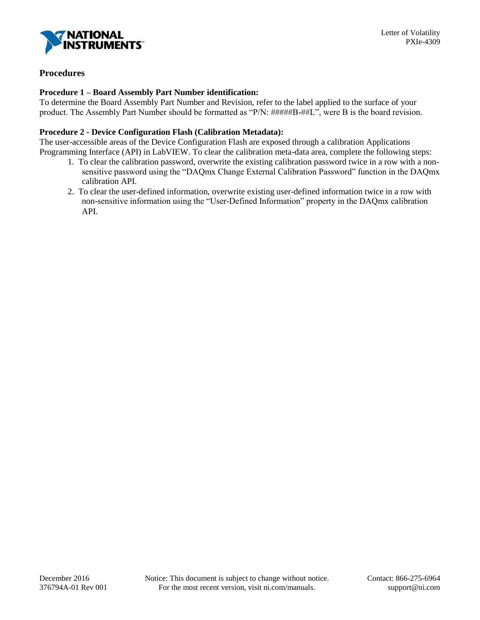

# **Procedures**

#### **Procedure 1 – Board Assembly Part Number identification:**

To determine the Board Assembly Part Number and Revision, refer to the label applied to the surface of your product. The Assembly Part Number should be formatted as "P/N: #####B-##L", were B is the board revision.

#### **Procedure 2 - Device Configuration Flash (Calibration Metadata):**

The user-accessible areas of the Device Configuration Flash are exposed through a calibration Applications Programming Interface (API) in LabVIEW. To clear the calibration meta-data area, complete the following steps:

- 1. To clear the calibration password, overwrite the existing calibration password twice in a row with a nonsensitive password using the "DAQmx Change External Calibration Password" function in the DAQmx calibration API.
- 2. To clear the user-defined information, overwrite existing user-defined information twice in a row with non-sensitive information using the "User-Defined Information" property in the DAQmx calibration API.